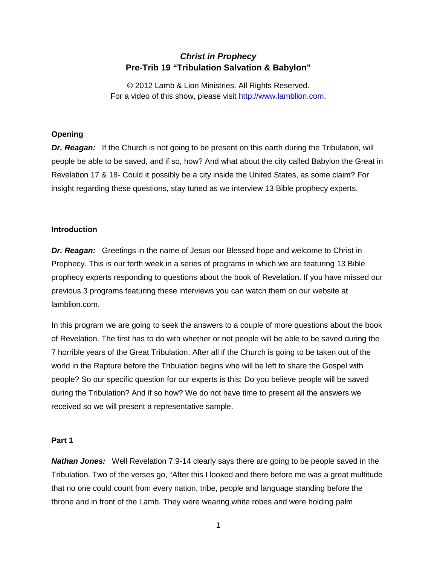# *Christ in Prophecy* **Pre-Trib 19 "Tribulation Salvation & Babylon"**

© 2012 Lamb & Lion Ministries. All Rights Reserved. For a video of this show, please visit [http://www.lamblion.com.](http://www.lamblion.com/)

## **Opening**

**Dr. Reagan:** If the Church is not going to be present on this earth during the Tribulation, will people be able to be saved, and if so, how? And what about the city called Babylon the Great in Revelation 17 & 18- Could it possibly be a city inside the United States, as some claim? For insight regarding these questions, stay tuned as we interview 13 Bible prophecy experts.

### **Introduction**

**Dr. Reagan:** Greetings in the name of Jesus our Blessed hope and welcome to Christ in Prophecy. This is our forth week in a series of programs in which we are featuring 13 Bible prophecy experts responding to questions about the book of Revelation. If you have missed our previous 3 programs featuring these interviews you can watch them on our website at lamblion.com.

In this program we are going to seek the answers to a couple of more questions about the book of Revelation. The first has to do with whether or not people will be able to be saved during the 7 horrible years of the Great Tribulation. After all if the Church is going to be taken out of the world in the Rapture before the Tribulation begins who will be left to share the Gospel with people? So our specific question for our experts is this: Do you believe people will be saved during the Tribulation? And if so how? We do not have time to present all the answers we received so we will present a representative sample.

#### **Part 1**

**Nathan Jones:** Well Revelation 7:9-14 clearly says there are going to be people saved in the Tribulation. Two of the verses go, "After this I looked and there before me was a great multitude that no one could count from every nation, tribe, people and language standing before the throne and in front of the Lamb. They were wearing white robes and were holding palm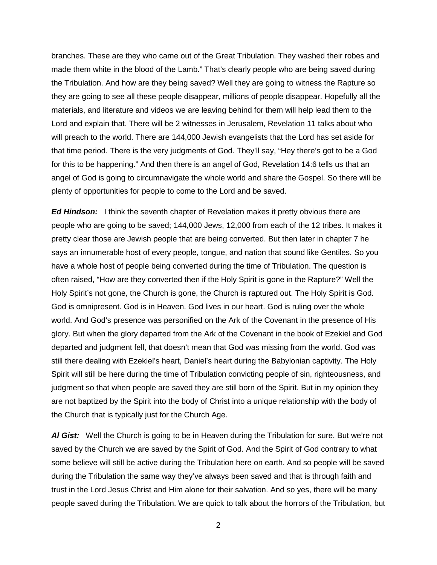branches. These are they who came out of the Great Tribulation. They washed their robes and made them white in the blood of the Lamb." That's clearly people who are being saved during the Tribulation. And how are they being saved? Well they are going to witness the Rapture so they are going to see all these people disappear, millions of people disappear. Hopefully all the materials, and literature and videos we are leaving behind for them will help lead them to the Lord and explain that. There will be 2 witnesses in Jerusalem, Revelation 11 talks about who will preach to the world. There are 144,000 Jewish evangelists that the Lord has set aside for that time period. There is the very judgments of God. They'll say, "Hey there's got to be a God for this to be happening." And then there is an angel of God, Revelation 14:6 tells us that an angel of God is going to circumnavigate the whole world and share the Gospel. So there will be plenty of opportunities for people to come to the Lord and be saved.

*Ed Hindson:* I think the seventh chapter of Revelation makes it pretty obvious there are people who are going to be saved; 144,000 Jews, 12,000 from each of the 12 tribes. It makes it pretty clear those are Jewish people that are being converted. But then later in chapter 7 he says an innumerable host of every people, tongue, and nation that sound like Gentiles. So you have a whole host of people being converted during the time of Tribulation. The question is often raised, "How are they converted then if the Holy Spirit is gone in the Rapture?" Well the Holy Spirit's not gone, the Church is gone, the Church is raptured out. The Holy Spirit is God. God is omnipresent. God is in Heaven. God lives in our heart. God is ruling over the whole world. And God's presence was personified on the Ark of the Covenant in the presence of His glory. But when the glory departed from the Ark of the Covenant in the book of Ezekiel and God departed and judgment fell, that doesn't mean that God was missing from the world. God was still there dealing with Ezekiel's heart, Daniel's heart during the Babylonian captivity. The Holy Spirit will still be here during the time of Tribulation convicting people of sin, righteousness, and judgment so that when people are saved they are still born of the Spirit. But in my opinion they are not baptized by the Spirit into the body of Christ into a unique relationship with the body of the Church that is typically just for the Church Age.

*Al Gist:* Well the Church is going to be in Heaven during the Tribulation for sure. But we're not saved by the Church we are saved by the Spirit of God. And the Spirit of God contrary to what some believe will still be active during the Tribulation here on earth. And so people will be saved during the Tribulation the same way they've always been saved and that is through faith and trust in the Lord Jesus Christ and Him alone for their salvation. And so yes, there will be many people saved during the Tribulation. We are quick to talk about the horrors of the Tribulation, but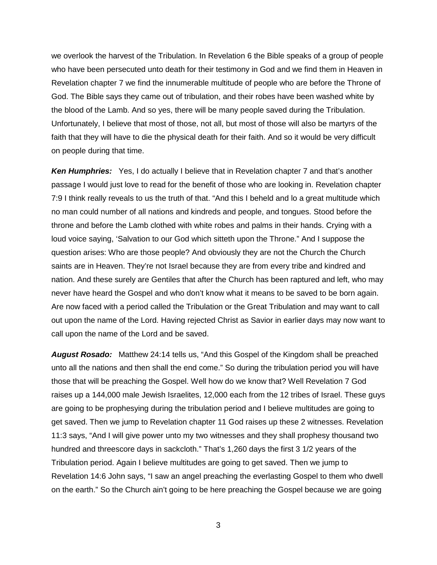we overlook the harvest of the Tribulation. In Revelation 6 the Bible speaks of a group of people who have been persecuted unto death for their testimony in God and we find them in Heaven in Revelation chapter 7 we find the innumerable multitude of people who are before the Throne of God. The Bible says they came out of tribulation, and their robes have been washed white by the blood of the Lamb. And so yes, there will be many people saved during the Tribulation. Unfortunately, I believe that most of those, not all, but most of those will also be martyrs of the faith that they will have to die the physical death for their faith. And so it would be very difficult on people during that time.

**Ken Humphries:** Yes, I do actually I believe that in Revelation chapter 7 and that's another passage I would just love to read for the benefit of those who are looking in. Revelation chapter 7:9 I think really reveals to us the truth of that. "And this I beheld and lo a great multitude which no man could number of all nations and kindreds and people, and tongues. Stood before the throne and before the Lamb clothed with white robes and palms in their hands. Crying with a loud voice saying, 'Salvation to our God which sitteth upon the Throne." And I suppose the question arises: Who are those people? And obviously they are not the Church the Church saints are in Heaven. They're not Israel because they are from every tribe and kindred and nation. And these surely are Gentiles that after the Church has been raptured and left, who may never have heard the Gospel and who don't know what it means to be saved to be born again. Are now faced with a period called the Tribulation or the Great Tribulation and may want to call out upon the name of the Lord. Having rejected Christ as Savior in earlier days may now want to call upon the name of the Lord and be saved.

*August Rosado:* Matthew 24:14 tells us, "And this Gospel of the Kingdom shall be preached unto all the nations and then shall the end come." So during the tribulation period you will have those that will be preaching the Gospel. Well how do we know that? Well Revelation 7 God raises up a 144,000 male Jewish Israelites, 12,000 each from the 12 tribes of Israel. These guys are going to be prophesying during the tribulation period and I believe multitudes are going to get saved. Then we jump to Revelation chapter 11 God raises up these 2 witnesses. Revelation 11:3 says, "And I will give power unto my two witnesses and they shall prophesy thousand two hundred and threescore days in sackcloth." That's 1,260 days the first 3 1/2 years of the Tribulation period. Again I believe multitudes are going to get saved. Then we jump to Revelation 14:6 John says, "I saw an angel preaching the everlasting Gospel to them who dwell on the earth." So the Church ain't going to be here preaching the Gospel because we are going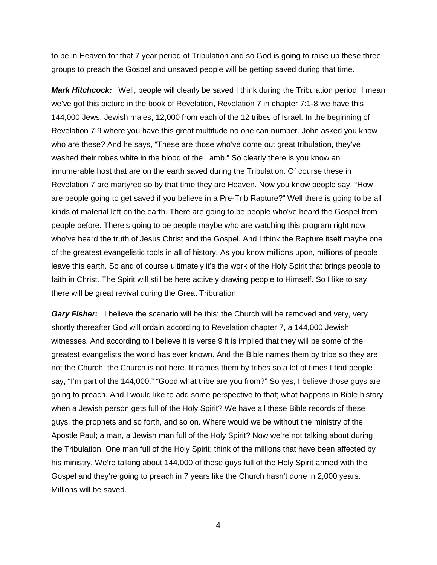to be in Heaven for that 7 year period of Tribulation and so God is going to raise up these three groups to preach the Gospel and unsaved people will be getting saved during that time.

Mark Hitchcock: Well, people will clearly be saved I think during the Tribulation period. I mean we've got this picture in the book of Revelation, Revelation 7 in chapter 7:1-8 we have this 144,000 Jews, Jewish males, 12,000 from each of the 12 tribes of Israel. In the beginning of Revelation 7:9 where you have this great multitude no one can number. John asked you know who are these? And he says, "These are those who've come out great tribulation, they've washed their robes white in the blood of the Lamb." So clearly there is you know an innumerable host that are on the earth saved during the Tribulation. Of course these in Revelation 7 are martyred so by that time they are Heaven. Now you know people say, "How are people going to get saved if you believe in a Pre-Trib Rapture?" Well there is going to be all kinds of material left on the earth. There are going to be people who've heard the Gospel from people before. There's going to be people maybe who are watching this program right now who've heard the truth of Jesus Christ and the Gospel. And I think the Rapture itself maybe one of the greatest evangelistic tools in all of history. As you know millions upon, millions of people leave this earth. So and of course ultimately it's the work of the Holy Spirit that brings people to faith in Christ. The Spirit will still be here actively drawing people to Himself. So I like to say there will be great revival during the Great Tribulation.

*Gary Fisher:* I believe the scenario will be this: the Church will be removed and very, very shortly thereafter God will ordain according to Revelation chapter 7, a 144,000 Jewish witnesses. And according to I believe it is verse 9 it is implied that they will be some of the greatest evangelists the world has ever known. And the Bible names them by tribe so they are not the Church, the Church is not here. It names them by tribes so a lot of times I find people say, "I'm part of the 144,000." "Good what tribe are you from?" So yes, I believe those guys are going to preach. And I would like to add some perspective to that; what happens in Bible history when a Jewish person gets full of the Holy Spirit? We have all these Bible records of these guys, the prophets and so forth, and so on. Where would we be without the ministry of the Apostle Paul; a man, a Jewish man full of the Holy Spirit? Now we're not talking about during the Tribulation. One man full of the Holy Spirit; think of the millions that have been affected by his ministry. We're talking about 144,000 of these guys full of the Holy Spirit armed with the Gospel and they're going to preach in 7 years like the Church hasn't done in 2,000 years. Millions will be saved.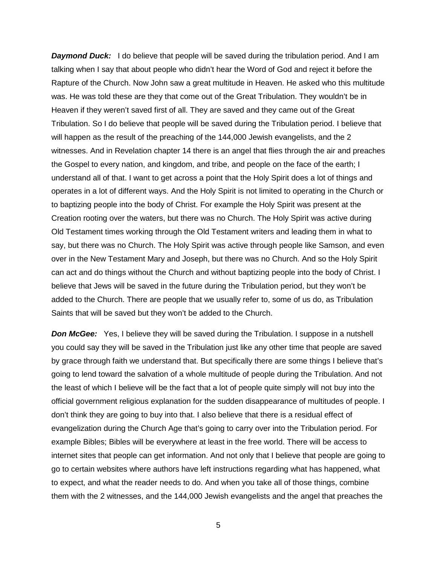**Daymond Duck:** I do believe that people will be saved during the tribulation period. And I am talking when I say that about people who didn't hear the Word of God and reject it before the Rapture of the Church. Now John saw a great multitude in Heaven. He asked who this multitude was. He was told these are they that come out of the Great Tribulation. They wouldn't be in Heaven if they weren't saved first of all. They are saved and they came out of the Great Tribulation. So I do believe that people will be saved during the Tribulation period. I believe that will happen as the result of the preaching of the 144,000 Jewish evangelists, and the 2 witnesses. And in Revelation chapter 14 there is an angel that flies through the air and preaches the Gospel to every nation, and kingdom, and tribe, and people on the face of the earth; I understand all of that. I want to get across a point that the Holy Spirit does a lot of things and operates in a lot of different ways. And the Holy Spirit is not limited to operating in the Church or to baptizing people into the body of Christ. For example the Holy Spirit was present at the Creation rooting over the waters, but there was no Church. The Holy Spirit was active during Old Testament times working through the Old Testament writers and leading them in what to say, but there was no Church. The Holy Spirit was active through people like Samson, and even over in the New Testament Mary and Joseph, but there was no Church. And so the Holy Spirit can act and do things without the Church and without baptizing people into the body of Christ. I believe that Jews will be saved in the future during the Tribulation period, but they won't be added to the Church. There are people that we usually refer to, some of us do, as Tribulation Saints that will be saved but they won't be added to the Church.

**Don McGee:** Yes, I believe they will be saved during the Tribulation. I suppose in a nutshell you could say they will be saved in the Tribulation just like any other time that people are saved by grace through faith we understand that. But specifically there are some things I believe that's going to lend toward the salvation of a whole multitude of people during the Tribulation. And not the least of which I believe will be the fact that a lot of people quite simply will not buy into the official government religious explanation for the sudden disappearance of multitudes of people. I don't think they are going to buy into that. I also believe that there is a residual effect of evangelization during the Church Age that's going to carry over into the Tribulation period. For example Bibles; Bibles will be everywhere at least in the free world. There will be access to internet sites that people can get information. And not only that I believe that people are going to go to certain websites where authors have left instructions regarding what has happened, what to expect, and what the reader needs to do. And when you take all of those things, combine them with the 2 witnesses, and the 144,000 Jewish evangelists and the angel that preaches the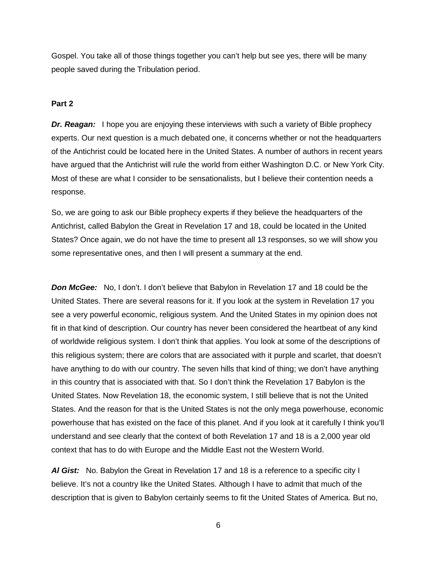Gospel. You take all of those things together you can't help but see yes, there will be many people saved during the Tribulation period.

#### **Part 2**

*Dr. Reagan:* I hope you are enjoying these interviews with such a variety of Bible prophecy experts. Our next question is a much debated one, it concerns whether or not the headquarters of the Antichrist could be located here in the United States. A number of authors in recent years have argued that the Antichrist will rule the world from either Washington D.C. or New York City. Most of these are what I consider to be sensationalists, but I believe their contention needs a response.

So, we are going to ask our Bible prophecy experts if they believe the headquarters of the Antichrist, called Babylon the Great in Revelation 17 and 18, could be located in the United States? Once again, we do not have the time to present all 13 responses, so we will show you some representative ones, and then I will present a summary at the end.

**Don McGee:** No, I don't. I don't believe that Babylon in Revelation 17 and 18 could be the United States. There are several reasons for it. If you look at the system in Revelation 17 you see a very powerful economic, religious system. And the United States in my opinion does not fit in that kind of description. Our country has never been considered the heartbeat of any kind of worldwide religious system. I don't think that applies. You look at some of the descriptions of this religious system; there are colors that are associated with it purple and scarlet, that doesn't have anything to do with our country. The seven hills that kind of thing; we don't have anything in this country that is associated with that. So I don't think the Revelation 17 Babylon is the United States. Now Revelation 18, the economic system, I still believe that is not the United States. And the reason for that is the United States is not the only mega powerhouse, economic powerhouse that has existed on the face of this planet. And if you look at it carefully I think you'll understand and see clearly that the context of both Revelation 17 and 18 is a 2,000 year old context that has to do with Europe and the Middle East not the Western World.

*Al Gist:* No. Babylon the Great in Revelation 17 and 18 is a reference to a specific city I believe. It's not a country like the United States. Although I have to admit that much of the description that is given to Babylon certainly seems to fit the United States of America. But no,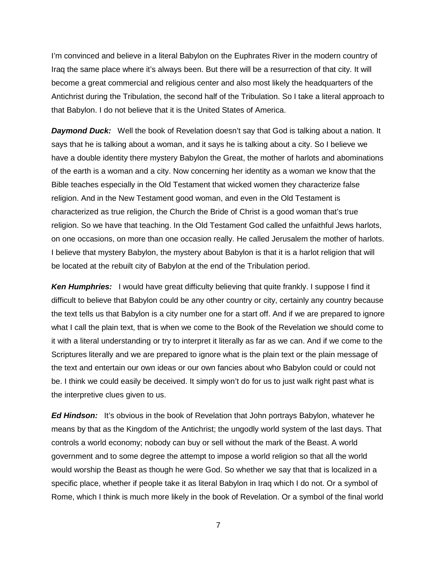I'm convinced and believe in a literal Babylon on the Euphrates River in the modern country of Iraq the same place where it's always been. But there will be a resurrection of that city. It will become a great commercial and religious center and also most likely the headquarters of the Antichrist during the Tribulation, the second half of the Tribulation. So I take a literal approach to that Babylon. I do not believe that it is the United States of America.

**Daymond Duck:** Well the book of Revelation doesn't say that God is talking about a nation. It says that he is talking about a woman, and it says he is talking about a city. So I believe we have a double identity there mystery Babylon the Great, the mother of harlots and abominations of the earth is a woman and a city. Now concerning her identity as a woman we know that the Bible teaches especially in the Old Testament that wicked women they characterize false religion. And in the New Testament good woman, and even in the Old Testament is characterized as true religion, the Church the Bride of Christ is a good woman that's true religion. So we have that teaching. In the Old Testament God called the unfaithful Jews harlots, on one occasions, on more than one occasion really. He called Jerusalem the mother of harlots. I believe that mystery Babylon, the mystery about Babylon is that it is a harlot religion that will be located at the rebuilt city of Babylon at the end of the Tribulation period.

*Ken Humphries:* I would have great difficulty believing that quite frankly. I suppose I find it difficult to believe that Babylon could be any other country or city, certainly any country because the text tells us that Babylon is a city number one for a start off. And if we are prepared to ignore what I call the plain text, that is when we come to the Book of the Revelation we should come to it with a literal understanding or try to interpret it literally as far as we can. And if we come to the Scriptures literally and we are prepared to ignore what is the plain text or the plain message of the text and entertain our own ideas or our own fancies about who Babylon could or could not be. I think we could easily be deceived. It simply won't do for us to just walk right past what is the interpretive clues given to us.

*Ed Hindson:* It's obvious in the book of Revelation that John portrays Babylon, whatever he means by that as the Kingdom of the Antichrist; the ungodly world system of the last days. That controls a world economy; nobody can buy or sell without the mark of the Beast. A world government and to some degree the attempt to impose a world religion so that all the world would worship the Beast as though he were God. So whether we say that that is localized in a specific place, whether if people take it as literal Babylon in Iraq which I do not. Or a symbol of Rome, which I think is much more likely in the book of Revelation. Or a symbol of the final world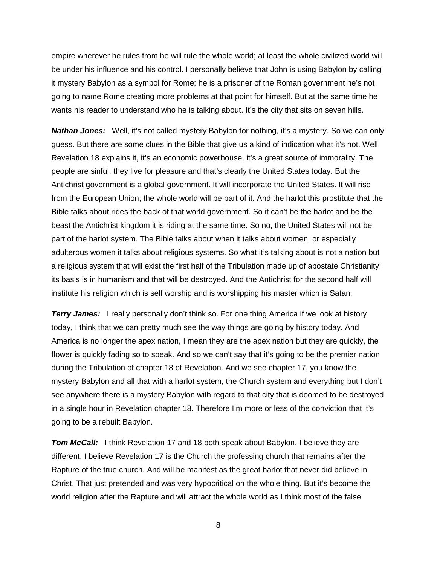empire wherever he rules from he will rule the whole world; at least the whole civilized world will be under his influence and his control. I personally believe that John is using Babylon by calling it mystery Babylon as a symbol for Rome; he is a prisoner of the Roman government he's not going to name Rome creating more problems at that point for himself. But at the same time he wants his reader to understand who he is talking about. It's the city that sits on seven hills.

*Nathan Jones:* Well, it's not called mystery Babylon for nothing, it's a mystery. So we can only guess. But there are some clues in the Bible that give us a kind of indication what it's not. Well Revelation 18 explains it, it's an economic powerhouse, it's a great source of immorality. The people are sinful, they live for pleasure and that's clearly the United States today. But the Antichrist government is a global government. It will incorporate the United States. It will rise from the European Union; the whole world will be part of it. And the harlot this prostitute that the Bible talks about rides the back of that world government. So it can't be the harlot and be the beast the Antichrist kingdom it is riding at the same time. So no, the United States will not be part of the harlot system. The Bible talks about when it talks about women, or especially adulterous women it talks about religious systems. So what it's talking about is not a nation but a religious system that will exist the first half of the Tribulation made up of apostate Christianity; its basis is in humanism and that will be destroyed. And the Antichrist for the second half will institute his religion which is self worship and is worshipping his master which is Satan.

**Terry James:** I really personally don't think so. For one thing America if we look at history today, I think that we can pretty much see the way things are going by history today. And America is no longer the apex nation, I mean they are the apex nation but they are quickly, the flower is quickly fading so to speak. And so we can't say that it's going to be the premier nation during the Tribulation of chapter 18 of Revelation. And we see chapter 17, you know the mystery Babylon and all that with a harlot system, the Church system and everything but I don't see anywhere there is a mystery Babylon with regard to that city that is doomed to be destroyed in a single hour in Revelation chapter 18. Therefore I'm more or less of the conviction that it's going to be a rebuilt Babylon.

**Tom McCall:** I think Revelation 17 and 18 both speak about Babylon, I believe they are different. I believe Revelation 17 is the Church the professing church that remains after the Rapture of the true church. And will be manifest as the great harlot that never did believe in Christ. That just pretended and was very hypocritical on the whole thing. But it's become the world religion after the Rapture and will attract the whole world as I think most of the false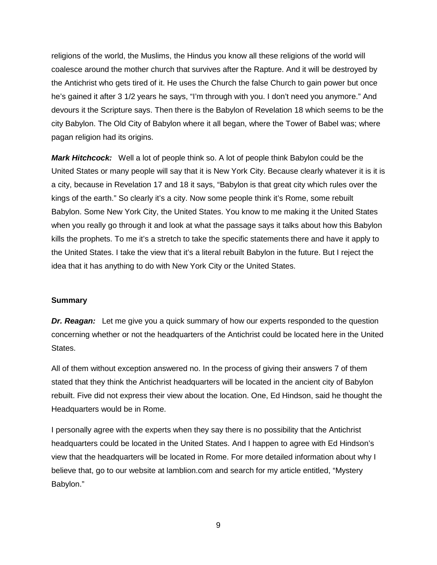religions of the world, the Muslims, the Hindus you know all these religions of the world will coalesce around the mother church that survives after the Rapture. And it will be destroyed by the Antichrist who gets tired of it. He uses the Church the false Church to gain power but once he's gained it after 3 1/2 years he says, "I'm through with you. I don't need you anymore." And devours it the Scripture says. Then there is the Babylon of Revelation 18 which seems to be the city Babylon. The Old City of Babylon where it all began, where the Tower of Babel was; where pagan religion had its origins.

*Mark Hitchcock:* Well a lot of people think so. A lot of people think Babylon could be the United States or many people will say that it is New York City. Because clearly whatever it is it is a city, because in Revelation 17 and 18 it says, "Babylon is that great city which rules over the kings of the earth." So clearly it's a city. Now some people think it's Rome, some rebuilt Babylon. Some New York City, the United States. You know to me making it the United States when you really go through it and look at what the passage says it talks about how this Babylon kills the prophets. To me it's a stretch to take the specific statements there and have it apply to the United States. I take the view that it's a literal rebuilt Babylon in the future. But I reject the idea that it has anything to do with New York City or the United States.

#### **Summary**

*Dr. Reagan:* Let me give you a quick summary of how our experts responded to the question concerning whether or not the headquarters of the Antichrist could be located here in the United States.

All of them without exception answered no. In the process of giving their answers 7 of them stated that they think the Antichrist headquarters will be located in the ancient city of Babylon rebuilt. Five did not express their view about the location. One, Ed Hindson, said he thought the Headquarters would be in Rome.

I personally agree with the experts when they say there is no possibility that the Antichrist headquarters could be located in the United States. And I happen to agree with Ed Hindson's view that the headquarters will be located in Rome. For more detailed information about why I believe that, go to our website at lamblion.com and search for my article entitled, "Mystery Babylon."